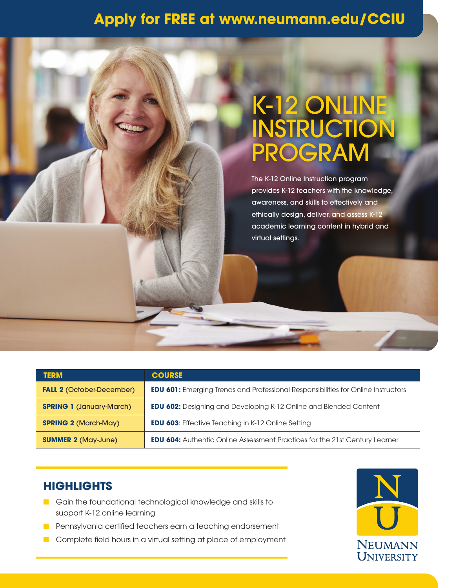## **Apply for FREE at www.neumann.edu/CCIU**

## K-12 ONLINE **INSTRUCTION** PROGRAM

The K-12 Online Instruction program provides K-12 teachers with the knowledge, awareness, and skills to effectively and ethically design, deliver, and assess K-12 academic learning content in hybrid and virtual settings.

| <b>TERM</b>                      | <b>COURSE</b>                                                                            |
|----------------------------------|------------------------------------------------------------------------------------------|
| <b>FALL 2 (October-December)</b> | <b>EDU 601:</b> Emerging Trends and Professional Responsibilities for Online Instructors |
| <b>SPRING 1 (January-March)</b>  | <b>EDU 602:</b> Designing and Developing K-12 Online and Blended Content                 |
| <b>SPRING 2 (March-May)</b>      | <b>EDU 603:</b> Effective Teaching in K-12 Online Setting                                |
| <b>SUMMER 2 (May-June)</b>       | <b>EDU 604:</b> Authentic Online Assessment Practices for the 21st Century Learner       |

## **HIGHLIGHTS**

- **n** Gain the foundational technological knowledge and skills to support K-12 online learning
- **n** Pennsylvania certified teachers earn a teaching endorsement
- **n** Complete field hours in a virtual setting at place of employment